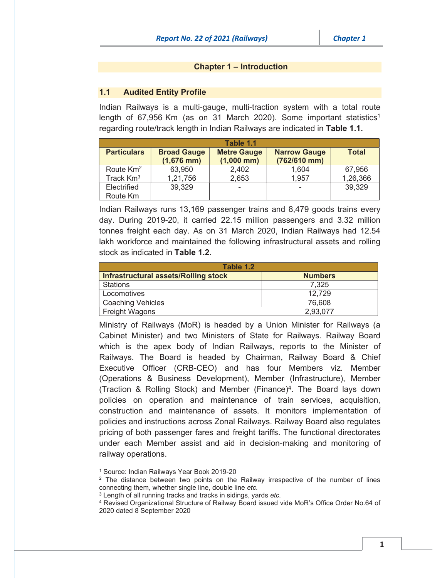#### Chapter 1 – Introduction

### 1.1 Audited Entity Profile

Indian Railways is a multi-gauge, multi-traction system with a total route length of 67,956 Km (as on 31 March 2020). Some important statistics<sup>1</sup> regarding route/track length in Indian Railways are indicated in Table 1.1.

| Table 1.1          |                    |                    |                     |              |
|--------------------|--------------------|--------------------|---------------------|--------------|
| <b>Particulars</b> | <b>Broad Gauge</b> | <b>Metre Gauge</b> | <b>Narrow Gauge</b> | <b>Total</b> |
|                    | $(1,676$ mm)       | $(1,000$ mm)       | (762/610 mm)        |              |
| Route $Km^2$       | 63,950             | 2,402              | 1,604               | 67,956       |
| Track $Km3$        | 1,21,756           | 2,653              | 1,957               | 1,26,366     |
| Electrified        | 39,329             | -                  |                     | 39,329       |
| Route Km           |                    |                    |                     |              |

Indian Railways runs 13,169 passenger trains and 8,479 goods trains every day. During 2019-20, it carried 22.15 million passengers and 3.32 million tonnes freight each day. As on 31 March 2020, Indian Railways had 12.54 lakh workforce and maintained the following infrastructural assets and rolling stock as indicated in Table 1.2.

| Table 1.2                            |                |  |  |
|--------------------------------------|----------------|--|--|
| Infrastructural assets/Rolling stock | <b>Numbers</b> |  |  |
| <b>Stations</b>                      | 7,325          |  |  |
| Locomotives                          | 12,729         |  |  |
| <b>Coaching Vehicles</b>             | 76,608         |  |  |
| <b>Freight Wagons</b>                | 2,93,077       |  |  |

Ministry of Railways (MoR) is headed by a Union Minister for Railways (a Cabinet Minister) and two Ministers of State for Railways. Railway Board which is the apex body of Indian Railways, reports to the Minister of Railways. The Board is headed by Chairman, Railway Board & Chief Executive Officer (CRB-CEO) and has four Members viz. Member (Operations & Business Development), Member (Infrastructure), Member (Traction & Rolling Stock) and Member (Finance)<sup>4</sup>. The Board lays down policies on operation and maintenance of train services, acquisition, construction and maintenance of assets. It monitors implementation of policies and instructions across Zonal Railways. Railway Board also regulates pricing of both passenger fares and freight tariffs. The functional directorates under each Member assist and aid in decision-making and monitoring of railway operations.

<sup>&</sup>lt;sup>1</sup> Source: Indian Railways Year Book 2019-20

<sup>&</sup>lt;sup>2</sup> The distance between two points on the Railway irrespective of the number of lines connecting them, whether single line, double line *etc.*

<sup>3</sup> Length of all running tracks and tracks in sidings, yards *etc.* 4 Revised Organizational Structure of Railway Board issued vide MoR's Office Order No.64 of 2020 dated 8 September 2020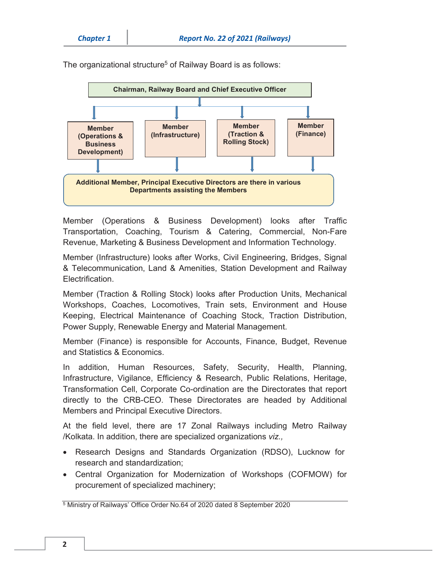

The organizational structure<sup>5</sup> of Railway Board is as follows:

Member (Operations & Business Development) looks after Traffic Transportation, Coaching, Tourism & Catering, Commercial, Non-Fare Revenue, Marketing & Business Development and Information Technology.

Member (Infrastructure) looks after Works, Civil Engineering, Bridges, Signal & Telecommunication, Land & Amenities, Station Development and Railway **Electrification** 

Member (Traction & Rolling Stock) looks after Production Units, Mechanical Workshops, Coaches, Locomotives, Train sets, Environment and House Keeping, Electrical Maintenance of Coaching Stock, Traction Distribution, Power Supply, Renewable Energy and Material Management.

Member (Finance) is responsible for Accounts, Finance, Budget, Revenue and Statistics & Economics.

In addition, Human Resources, Safety, Security, Health, Planning, Infrastructure, Vigilance, Efficiency & Research, Public Relations, Heritage, Transformation Cell, Corporate Co-ordination are the Directorates that report directly to the CRB-CEO. These Directorates are headed by Additional Members and Principal Executive Directors.

At the field level, there are 17 Zonal Railways including Metro Railway /Kolkata. In addition, there are specialized organizations *viz.,*

- Research Designs and Standards Organization (RDSO), Lucknow for research and standardization;
- Central Organization for Modernization of Workshops (COFMOW) for procurement of specialized machinery;

<sup>5</sup> Ministry of Railways' Office Order No.64 of 2020 dated 8 September 2020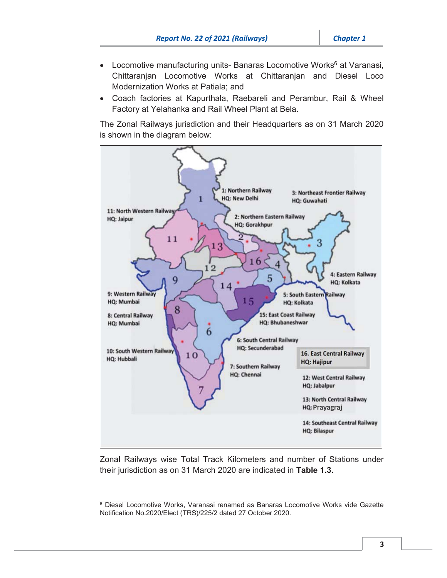- Locomotive manufacturing units- Banaras Locomotive Works $<sup>6</sup>$  at Varanasi,</sup> Chittaranjan Locomotive Works at Chittaranjan and Diesel Loco Modernization Works at Patiala; and
- Coach factories at Kapurthala, Raebareli and Perambur, Rail & Wheel Factory at Yelahanka and Rail Wheel Plant at Bela.

The Zonal Railways jurisdiction and their Headquarters as on 31 March 2020 is shown in the diagram below:



Zonal Railways wise Total Track Kilometers and number of Stations under their jurisdiction as on 31 March 2020 are indicated in Table 1.3.

<sup>6</sup> Diesel Locomotive Works, Varanasi renamed as Banaras Locomotive Works vide Gazette Notification No.2020/Elect (TRS)/225/2 dated 27 October 2020.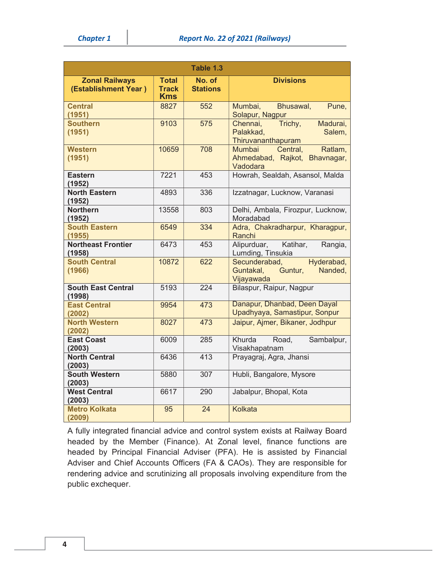|                                               |                                            | Table 1.3                 |                                                                               |
|-----------------------------------------------|--------------------------------------------|---------------------------|-------------------------------------------------------------------------------|
| <b>Zonal Railways</b><br>(Establishment Year) | <b>Total</b><br><b>Track</b><br><b>Kms</b> | No. of<br><b>Stations</b> | <b>Divisions</b>                                                              |
| <b>Central</b><br>(1951)                      | 8827                                       | 552                       | Mumbai,<br>Bhusawal,<br>Pune,<br>Solapur, Nagpur                              |
| <b>Southern</b><br>(1951)                     | 9103                                       | 575                       | Chennai,<br>Madurai,<br>Trichy,<br>Palakkad,<br>Salem,<br>Thiruvananthapuram  |
| <b>Western</b><br>(1951)                      | 10659                                      | 708                       | Mumbai<br>Ratlam,<br>Central,<br>Ahmedabad, Rajkot,<br>Bhavnagar,<br>Vadodara |
| <b>Eastern</b><br>(1952)                      | 7221                                       | 453                       | Howrah, Sealdah, Asansol, Malda                                               |
| <b>North Eastern</b><br>(1952)                | 4893                                       | 336                       | Izzatnagar, Lucknow, Varanasi                                                 |
| <b>Northern</b><br>(1952)                     | 13558                                      | 803                       | Delhi, Ambala, Firozpur, Lucknow,<br>Moradabad                                |
| <b>South Eastern</b><br>(1955)                | 6549                                       | 334                       | Adra, Chakradharpur, Kharagpur,<br>Ranchi                                     |
| <b>Northeast Frontier</b><br>(1958)           | 6473                                       | 453                       | Alipurduar,<br>Katihar,<br>Rangia,<br>Lumding, Tinsukia                       |
| <b>South Central</b><br>(1966)                | 10872                                      | 622                       | Secunderabad,<br>Hyderabad,<br>Guntur,<br>Guntakal,<br>Nanded,<br>Vijayawada  |
| <b>South East Central</b><br>(1998)           | 5193                                       | 224                       | Bilaspur, Raipur, Nagpur                                                      |
| <b>East Central</b><br>(2002)                 | 9954                                       | 473                       | Danapur, Dhanbad, Deen Dayal<br>Upadhyaya, Samastipur, Sonpur                 |
| <b>North Western</b><br>(2002)                | 8027                                       | 473                       | Jaipur, Ajmer, Bikaner, Jodhpur                                               |
| <b>East Coast</b><br>(2003)                   | 6009                                       | 285                       | Khurda<br>Road,<br>Sambalpur,<br>Visakhapatnam                                |
| <b>North Central</b><br>(2003)                | 6436                                       | 413                       | Prayagraj, Agra, Jhansi                                                       |
| <b>South Western</b><br>(2003)                | 5880                                       | 307                       | Hubli, Bangalore, Mysore                                                      |
| <b>West Central</b><br>(2003)                 | 6617                                       | 290                       | Jabalpur, Bhopal, Kota                                                        |
| <b>Metro Kolkata</b><br>(2009)                | 95                                         | 24                        | <b>Kolkata</b>                                                                |

A fully integrated financial advice and control system exists at Railway Board headed by the Member (Finance). At Zonal level, finance functions are headed by Principal Financial Adviser (PFA). He is assisted by Financial Adviser and Chief Accounts Officers (FA & CAOs). They are responsible for rendering advice and scrutinizing all proposals involving expenditure from the public exchequer.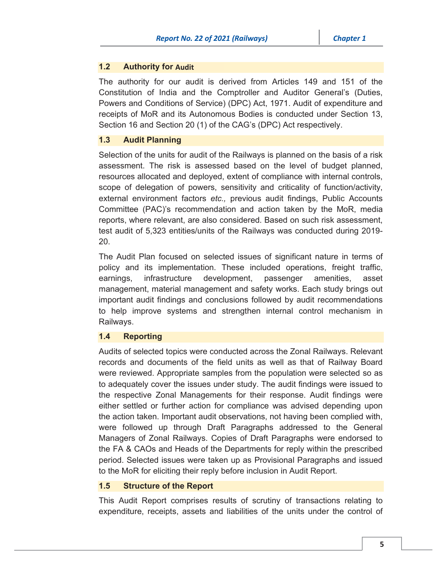# **1.2 Authority for Audit**

The authority for our audit is derived from Articles 149 and 151 of the Constitution of India and the Comptroller and Auditor General's (Duties, Powers and Conditions of Service) (DPC) Act, 1971. Audit of expenditure and receipts of MoR and its Autonomous Bodies is conducted under Section 13, Section 16 and Section 20 (1) of the CAG's (DPC) Act respectively.

# 1.3 Audit Planning

Selection of the units for audit of the Railways is planned on the basis of a risk assessment. The risk is assessed based on the level of budget planned, resources allocated and deployed, extent of compliance with internal controls, scope of delegation of powers, sensitivity and criticality of function/activity, external environment factors *etc.,* previous audit findings, Public Accounts Committee (PAC)'s recommendation and action taken by the MoR, media reports, where relevant, are also considered. Based on such risk assessment, test audit of 5,323 entities/units of the Railways was conducted during 2019- 20.

The Audit Plan focused on selected issues of significant nature in terms of policy and its implementation. These included operations, freight traffic, earnings, infrastructure development, passenger amenities, asset management, material management and safety works. Each study brings out important audit findings and conclusions followed by audit recommendations to help improve systems and strengthen internal control mechanism in Railways.

# 1.4 Reporting

Audits of selected topics were conducted across the Zonal Railways. Relevant records and documents of the field units as well as that of Railway Board were reviewed. Appropriate samples from the population were selected so as to adequately cover the issues under study. The audit findings were issued to the respective Zonal Managements for their response. Audit findings were either settled or further action for compliance was advised depending upon the action taken. Important audit observations, not having been complied with, were followed up through Draft Paragraphs addressed to the General Managers of Zonal Railways. Copies of Draft Paragraphs were endorsed to the FA & CAOs and Heads of the Departments for reply within the prescribed period. Selected issues were taken up as Provisional Paragraphs and issued to the MoR for eliciting their reply before inclusion in Audit Report.

### 1.5 Structure of the Report

This Audit Report comprises results of scrutiny of transactions relating to expenditure, receipts, assets and liabilities of the units under the control of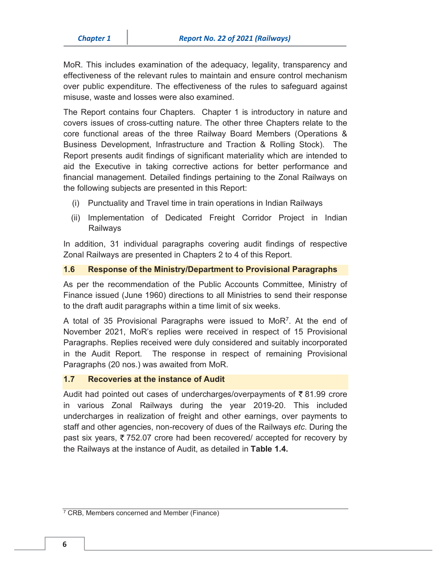MoR. This includes examination of the adequacy, legality, transparency and effectiveness of the relevant rules to maintain and ensure control mechanism over public expenditure. The effectiveness of the rules to safeguard against misuse, waste and losses were also examined.

The Report contains four Chapters. Chapter 1 is introductory in nature and covers issues of cross-cutting nature. The other three Chapters relate to the core functional areas of the three Railway Board Members (Operations & Business Development, Infrastructure and Traction & Rolling Stock). The Report presents audit findings of significant materiality which are intended to aid the Executive in taking corrective actions for better performance and financial management. Detailed findings pertaining to the Zonal Railways on the following subjects are presented in this Report:

- (i) Punctuality and Travel time in train operations in Indian Railways
- (ii) Implementation of Dedicated Freight Corridor Project in Indian Railways

In addition, 31 individual paragraphs covering audit findings of respective Zonal Railways are presented in Chapters 2 to 4 of this Report.

#### 1.6 Response of the Ministry/Department to Provisional Paragraphs

As per the recommendation of the Public Accounts Committee, Ministry of Finance issued (June 1960) directions to all Ministries to send their response to the draft audit paragraphs within a time limit of six weeks.

A total of 35 Provisional Paragraphs were issued to MoR7. At the end of November 2021, MoR's replies were received in respect of 15 Provisional Paragraphs. Replies received were duly considered and suitably incorporated in the Audit Report. The response in respect of remaining Provisional Paragraphs (20 nos.) was awaited from MoR.

#### 1.7 Recoveries at the instance of Audit

Audit had pointed out cases of undercharges/overpayments of  $\bar{\tau}$  81.99 crore in various Zonal Railways during the year 2019-20. This included undercharges in realization of freight and other earnings, over payments to staff and other agencies, non-recovery of dues of the Railways *etc*. During the past six years,  $\overline{\zeta}$  752.07 crore had been recovered/ accepted for recovery by the Railways at the instance of Audit, as detailed in Table 1.4.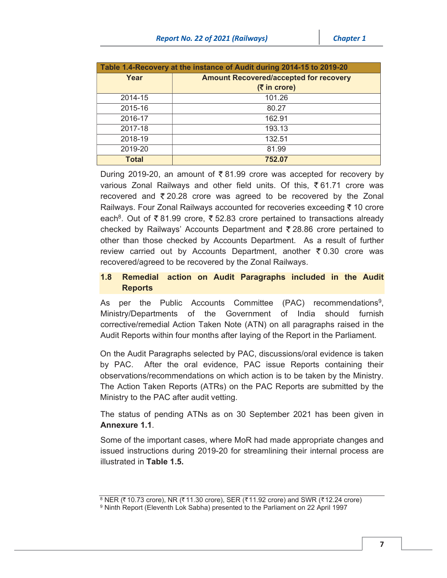| Table 1.4-Recovery at the instance of Audit during 2014-15 to 2019-20 |                                               |  |
|-----------------------------------------------------------------------|-----------------------------------------------|--|
| Year                                                                  | <b>Amount Recovered/accepted for recovery</b> |  |
|                                                                       | $(5 \infty)$                                  |  |
| 2014-15                                                               | 101.26                                        |  |
| 2015-16                                                               | 80.27                                         |  |
| 2016-17                                                               | 162.91                                        |  |
| 2017-18                                                               | 193.13                                        |  |
| 2018-19                                                               | 132.51                                        |  |
| 2019-20                                                               | 81.99                                         |  |
| Total                                                                 | 752.07                                        |  |

During 2019-20, an amount of  $\bar{\tau}$  81.99 crore was accepted for recovery by various Zonal Railways and other field units. Of this,  $\bar{\xi}$  61.71 crore was recovered and  $\overline{z}$  20.28 crore was agreed to be recovered by the Zonal Railways. Four Zonal Railways accounted for recoveries exceeding  $\bar{\tau}$  10 crore each<sup>8</sup>. Out of  $\bar{\xi}$  81.99 crore,  $\bar{\xi}$  52.83 crore pertained to transactions already checked by Railways' Accounts Department and  $\overline{z}$  28.86 crore pertained to other than those checked by Accounts Department. As a result of further review carried out by Accounts Department, another  $\bar{\tau}$  0.30 crore was recovered/agreed to be recovered by the Zonal Railways.

# 1.8 Remedial action on Audit Paragraphs included in the Audit **Reports**

As per the Public Accounts Committee (PAC) recommendations<sup>9</sup>, Ministry/Departments of the Government of India should furnish corrective/remedial Action Taken Note (ATN) on all paragraphs raised in the Audit Reports within four months after laying of the Report in the Parliament.

On the Audit Paragraphs selected by PAC, discussions/oral evidence is taken by PAC. After the oral evidence, PAC issue Reports containing their observations/recommendations on which action is to be taken by the Ministry. The Action Taken Reports (ATRs) on the PAC Reports are submitted by the Ministry to the PAC after audit vetting.

The status of pending ATNs as on 30 September 2021 has been given in Annexure 1.1.

Some of the important cases, where MoR had made appropriate changes and issued instructions during 2019-20 for streamlining their internal process are illustrated in Table 1.5.

<sup>8</sup> NER ( $\bar{z}$  10.73 crore), NR ( $\bar{z}$  11.30 crore), SER ( $\bar{z}$  11.92 crore) and SWR ( $\bar{z}$  12.24 crore) 9 Ninth Report (Eleventh Lok Sabha) presented to the Parliament on 22 April 1997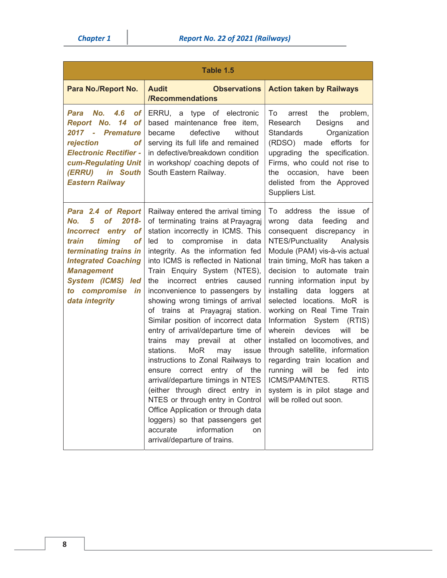| Table 1.5                                                                                                                                                                                                                                                             |                                                                                                                                                                                                                                                                                                                                                                                                                                                                                                                                                                                                                                                                                                                                                                                                                                                                                                        |                                                                                                                                                                                                                                                                                                                                                                                                                                                                                                                                                                                                                                                                        |  |
|-----------------------------------------------------------------------------------------------------------------------------------------------------------------------------------------------------------------------------------------------------------------------|--------------------------------------------------------------------------------------------------------------------------------------------------------------------------------------------------------------------------------------------------------------------------------------------------------------------------------------------------------------------------------------------------------------------------------------------------------------------------------------------------------------------------------------------------------------------------------------------------------------------------------------------------------------------------------------------------------------------------------------------------------------------------------------------------------------------------------------------------------------------------------------------------------|------------------------------------------------------------------------------------------------------------------------------------------------------------------------------------------------------------------------------------------------------------------------------------------------------------------------------------------------------------------------------------------------------------------------------------------------------------------------------------------------------------------------------------------------------------------------------------------------------------------------------------------------------------------------|--|
| Para No./Report No.                                                                                                                                                                                                                                                   | <b>Audit</b><br><b>Observations</b><br>/Recommendations                                                                                                                                                                                                                                                                                                                                                                                                                                                                                                                                                                                                                                                                                                                                                                                                                                                | <b>Action taken by Railways</b>                                                                                                                                                                                                                                                                                                                                                                                                                                                                                                                                                                                                                                        |  |
| Para No.<br>4.6<br><b>of</b><br>Report No. 14<br><b>of</b><br>2017 - Premature<br>rejection<br>оf<br><b>Electronic Rectifier -</b><br>cum-Regulating Unit<br>(ERRU) in South<br><b>Eastern Railway</b>                                                                | ERRU, a type of electronic<br>based maintenance free item,<br>defective<br>without<br>became<br>serving its full life and remained<br>in defective/breakdown condition<br>in workshop/ coaching depots of<br>South Eastern Railway.                                                                                                                                                                                                                                                                                                                                                                                                                                                                                                                                                                                                                                                                    | To<br>the<br>problem,<br>arrest<br>Research<br>Designs<br>and<br>Standards<br>Organization<br>(RDSO) made efforts for<br>upgrading the specification.<br>Firms, who could not rise to<br>the occasion, have<br>been<br>delisted from the Approved<br>Suppliers List.                                                                                                                                                                                                                                                                                                                                                                                                   |  |
| Para 2.4 of Report<br>No.<br>5<br>2018-<br><b>of</b><br>entry<br><b>Incorrect</b><br><b>of</b><br>timing<br>train<br><b>of</b><br>terminating trains in<br><b>Integrated Coaching</b><br><b>Management</b><br>System (ICMS) led<br>to compromise in<br>data integrity | Railway entered the arrival timing<br>of terminating trains at Prayagraj<br>station incorrectly in ICMS. This<br>led to<br>compromise<br>in<br>data<br>integrity. As the information fed<br>into ICMS is reflected in National<br>Train Enquiry System (NTES),<br>entries<br>incorrect<br>caused<br>the<br>inconvenience to passengers by<br>showing wrong timings of arrival<br>of trains at Prayagraj station.<br>Similar position of incorrect data<br>entry of arrival/departure time of<br>other<br>trains may prevail at<br>stations.<br><b>MoR</b><br>may<br>issue<br>instructions to Zonal Railways to<br>correct entry of the<br>ensure<br>arrival/departure timings in NTES<br>(either through direct entry in<br>NTES or through entry in Control<br>Office Application or through data<br>loggers) so that passengers get<br>accurate<br>information<br>on<br>arrival/departure of trains. | To address<br>the issue<br>οf<br>feeding<br>data<br>wrong<br>and<br>consequent discrepancy in<br>NTES/Punctuality<br>Analysis<br>Module (PAM) vis-à-vis actual<br>train timing, MoR has taken a<br>decision to automate train<br>running information input by<br>installing<br>data<br>loggers<br>at<br>selected locations. MoR is<br>working on Real Time Train<br>Information System (RTIS)<br>devices<br>will<br>wherein<br>be<br>installed on locomotives, and<br>through satellite, information<br>regarding train location and<br>running will<br>fed<br>be<br>into<br>ICMS/PAM/NTES.<br><b>RTIS</b><br>system is in pilot stage and<br>will be rolled out soon. |  |